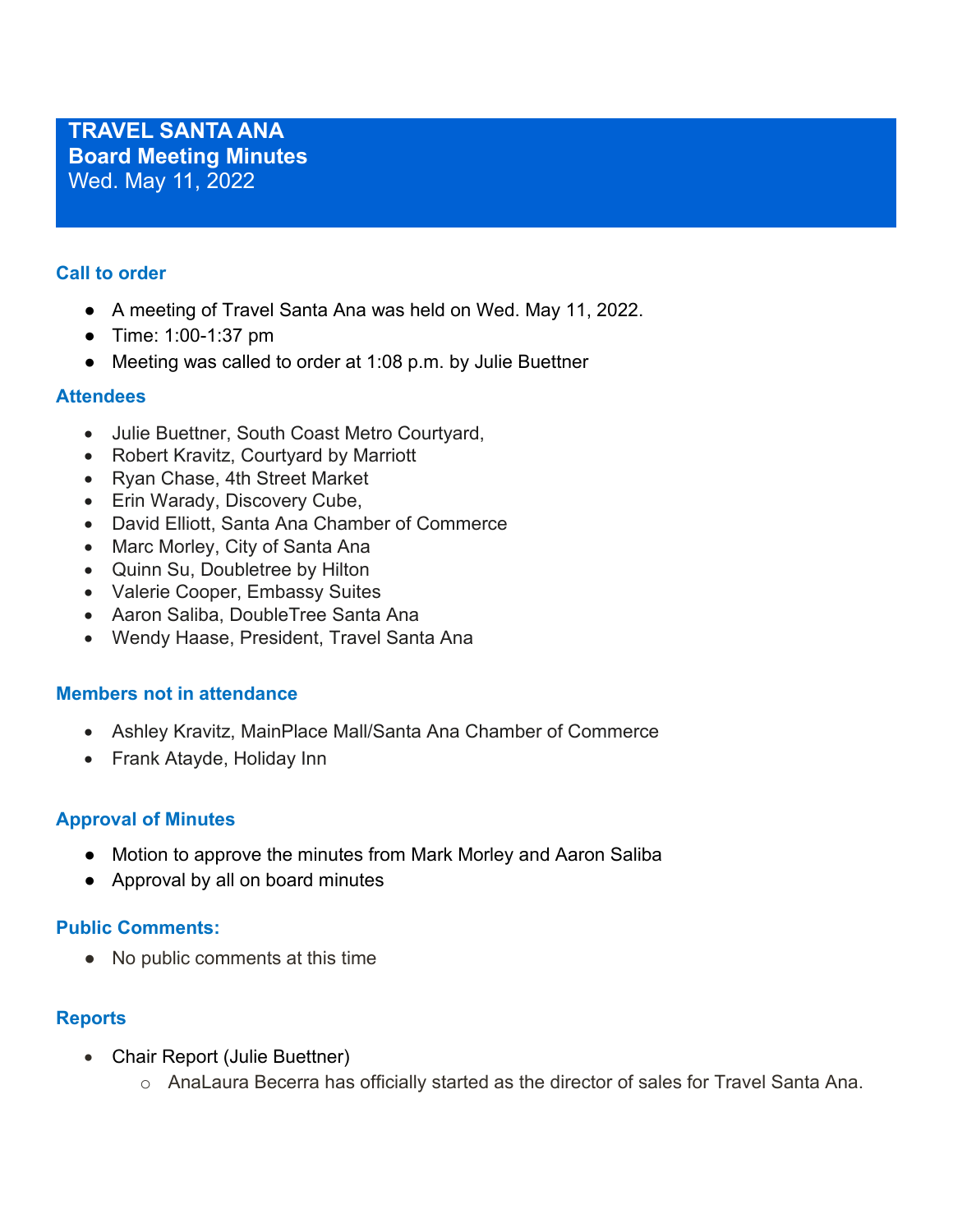## **Call to order**

- A meeting of Travel Santa Ana was held on Wed. May 11, 2022.
- Time: 1:00-1:37 pm
- Meeting was called to order at 1:08 p.m. by Julie Buettner

## **Attendees**

- Julie Buettner, South Coast Metro Courtyard,
- Robert Kravitz, Courtyard by Marriott
- Ryan Chase, 4th Street Market
- Erin Warady, Discovery Cube,
- David Elliott, Santa Ana Chamber of Commerce
- Marc Morley, City of Santa Ana
- Quinn Su, Doubletree by Hilton
- Valerie Cooper, Embassy Suites
- Aaron Saliba, DoubleTree Santa Ana
- Wendy Haase, President, Travel Santa Ana

## **Members not in attendance**

- Ashley Kravitz, MainPlace Mall/Santa Ana Chamber of Commerce
- Frank Atayde, Holiday Inn

## **Approval of Minutes**

- Motion to approve the minutes from Mark Morley and Aaron Saliba
- Approval by all on board minutes

## **Public Comments:**

● No public comments at this time

## **Reports**

- Chair Report (Julie Buettner)
	- o AnaLaura Becerra has officially started as the director of sales for Travel Santa Ana.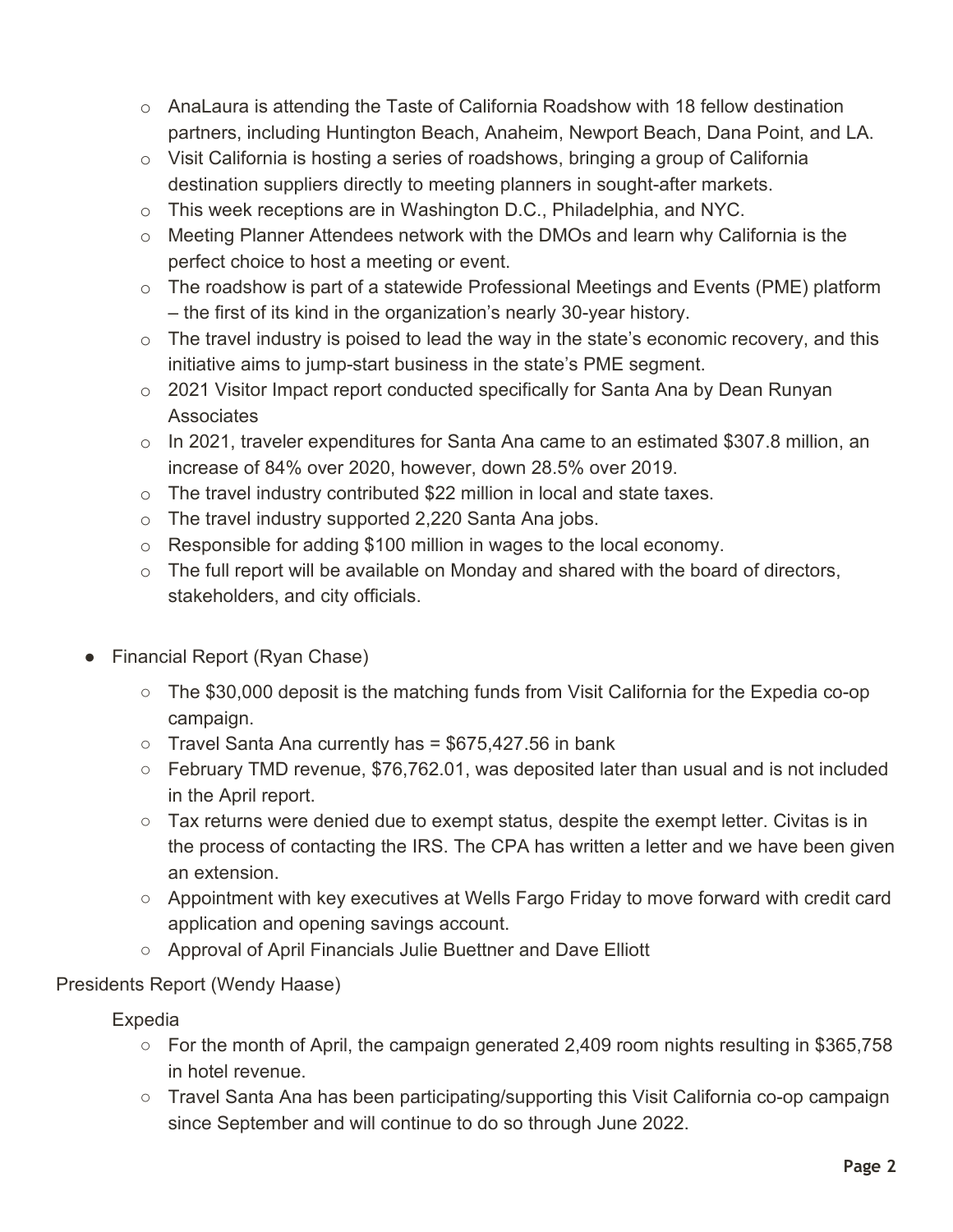- $\circ$  AnaLaura is attending the Taste of California Roadshow with 18 fellow destination partners, including Huntington Beach, Anaheim, Newport Beach, Dana Point, and LA.
- $\circ$  Visit California is hosting a series of roadshows, bringing a group of California destination suppliers directly to meeting planners in sought-after markets.
- o This week receptions are in Washington D.C., Philadelphia, and NYC.
- o Meeting Planner Attendees network with the DMOs and learn why California is the perfect choice to host a meeting or event.
- $\circ$  The roadshow is part of a statewide Professional Meetings and Events (PME) platform – the first of its kind in the organization's nearly 30-year history.
- $\circ$  The travel industry is poised to lead the way in the state's economic recovery, and this initiative aims to jump-start business in the state's PME segment.
- o 2021 Visitor Impact report conducted specifically for Santa Ana by Dean Runyan **Associates**
- $\circ$  In 2021, traveler expenditures for Santa Ana came to an estimated \$307.8 million, an increase of 84% over 2020, however, down 28.5% over 2019.
- o The travel industry contributed \$22 million in local and state taxes.
- o The travel industry supported 2,220 Santa Ana jobs.
- o Responsible for adding \$100 million in wages to the local economy.
- $\circ$  The full report will be available on Monday and shared with the board of directors, stakeholders, and city officials.
- Financial Report (Ryan Chase)
	- The \$30,000 deposit is the matching funds from Visit California for the Expedia co-op campaign.
	- $\circ$  Travel Santa Ana currently has = \$675,427.56 in bank
	- February TMD revenue, \$76,762.01, was deposited later than usual and is not included in the April report.
	- Tax returns were denied due to exempt status, despite the exempt letter. Civitas is in the process of contacting the IRS. The CPA has written a letter and we have been given an extension.
	- Appointment with key executives at Wells Fargo Friday to move forward with credit card application and opening savings account.
	- Approval of April Financials Julie Buettner and Dave Elliott

# Presidents Report (Wendy Haase)

Expedia

- For the month of April, the campaign generated 2,409 room nights resulting in \$365,758 in hotel revenue.
- Travel Santa Ana has been participating/supporting this Visit California co-op campaign since September and will continue to do so through June 2022.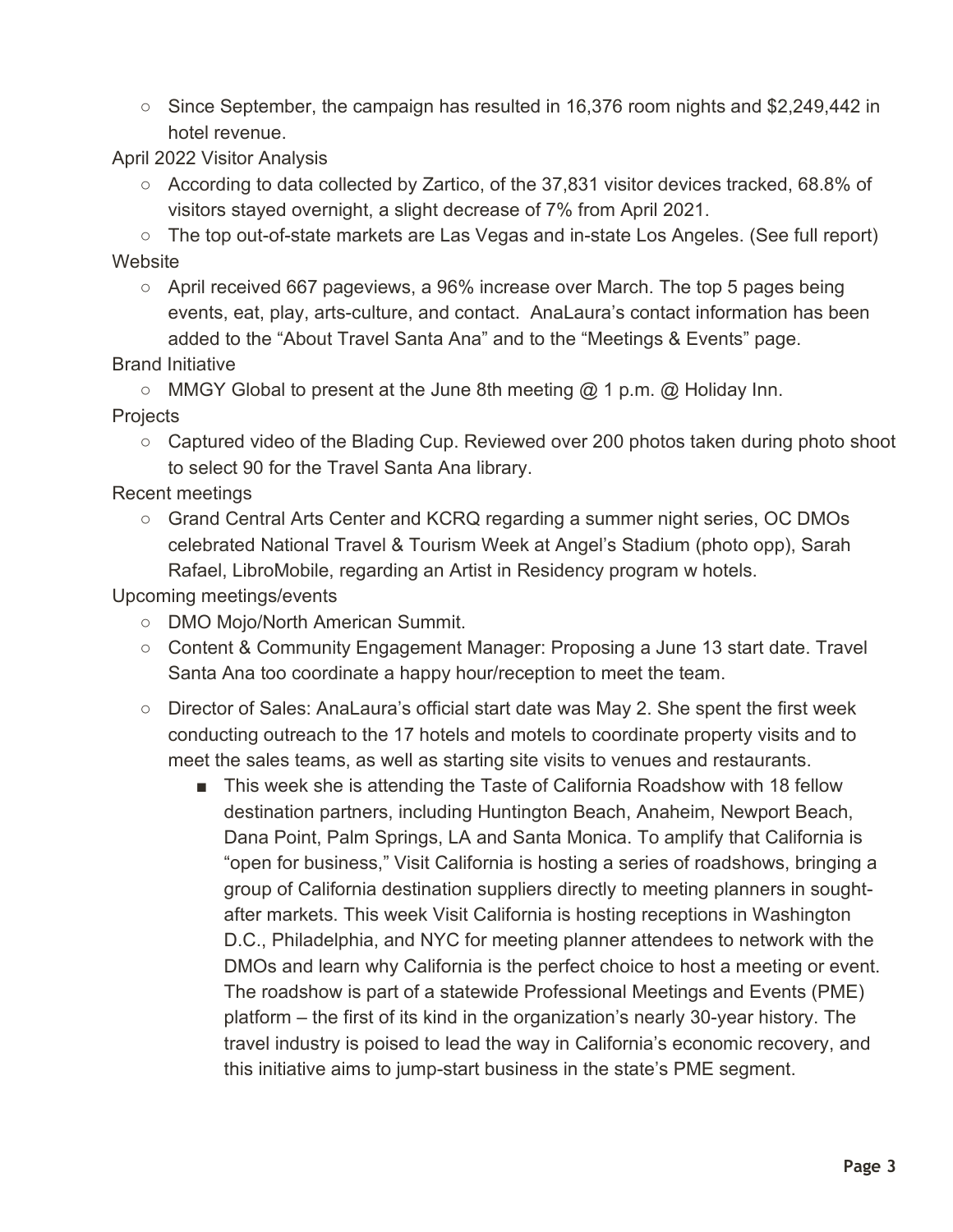○ Since September, the campaign has resulted in 16,376 room nights and \$2,249,442 in hotel revenue.

April 2022 Visitor Analysis

○ According to data collected by Zartico, of the 37,831 visitor devices tracked, 68.8% of visitors stayed overnight, a slight decrease of 7% from April 2021.

○ The top out-of-state markets are Las Vegas and in-state Los Angeles. (See full report) **Website** 

 $\circ$  April received 667 pageviews, a 96% increase over March. The top 5 pages being events, eat, play, arts-culture, and contact. AnaLaura's contact information has been added to the "About Travel Santa Ana" and to the "Meetings & Events" page.

Brand Initiative

 $\circ$  MMGY Global to present at the June 8th meeting  $@$  1 p.m.  $@$  Holiday Inn.

**Projects** 

○ Captured video of the Blading Cup. Reviewed over 200 photos taken during photo shoot to select 90 for the Travel Santa Ana library.

Recent meetings

○ Grand Central Arts Center and KCRQ regarding a summer night series, OC DMOs celebrated National Travel & Tourism Week at Angel's Stadium (photo opp), Sarah Rafael, LibroMobile, regarding an Artist in Residency program w hotels.

Upcoming meetings/events

- DMO Mojo/North American Summit.
- Content & Community Engagement Manager: Proposing a June 13 start date. Travel Santa Ana too coordinate a happy hour/reception to meet the team.
- Director of Sales: AnaLaura's official start date was May 2. She spent the first week conducting outreach to the 17 hotels and motels to coordinate property visits and to meet the sales teams, as well as starting site visits to venues and restaurants.
	- This week she is attending the Taste of California Roadshow with 18 fellow destination partners, including Huntington Beach, Anaheim, Newport Beach, Dana Point, Palm Springs, LA and Santa Monica. To amplify that California is "open for business," Visit California is hosting a series of roadshows, bringing a group of California destination suppliers directly to meeting planners in soughtafter markets. This week Visit California is hosting receptions in Washington D.C., Philadelphia, and NYC for meeting planner attendees to network with the DMOs and learn why California is the perfect choice to host a meeting or event. The roadshow is part of a statewide Professional Meetings and Events (PME) platform – the first of its kind in the organization's nearly 30-year history. The travel industry is poised to lead the way in California's economic recovery, and this initiative aims to jump-start business in the state's PME segment.